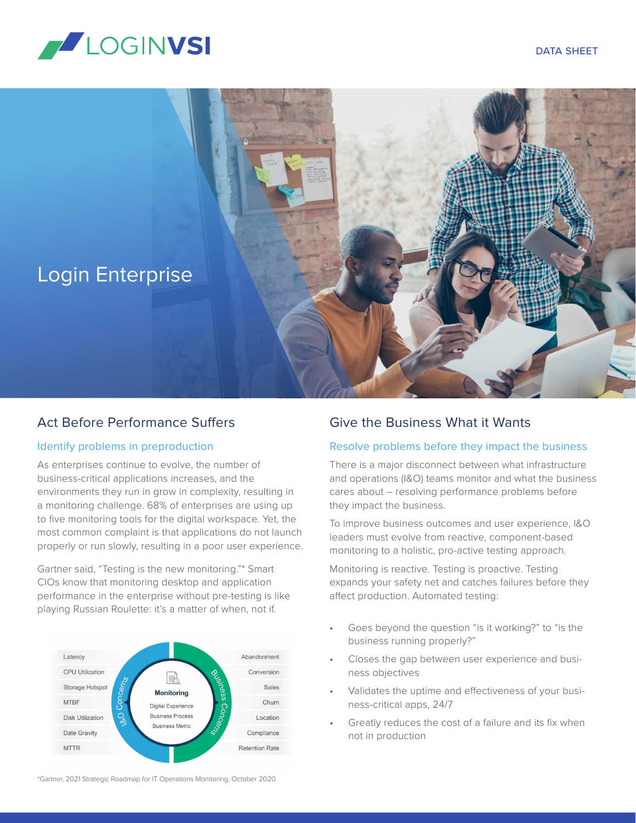





### Act Before Performance Suffers

#### Identify problems in preproduction

As enterprises continue to evolve, the number of business-critical applications increases, and the environments they run in grow in complexity, resulting in a monitoring challenge. 68% of enterprises are using up to five monitoring tools for the digital workspace. Yet, the most common complaint is that applications do not launch properly or run slowly, resulting in a poor user experience.

Gartner said, "Testing is the new monitoring."\* Smart CIOs know that monitoring desktop and application performance in the enterprise without pre-testing is like playing Russian Roulette: it's a matter of when, not if.



\*Gartner, 2021 Strategic Roadmap for IT Operations Monitoring, October 2020

## Give the Business What it Wants

#### Resolve problems before they impact the business

There is a major disconnect between what infrastructure and operations (I&O) teams monitor and what the business cares about – resolving performance problems before they impact the business.

To improve business outcomes and user experience, I&O leaders must evolve from reactive, component-based monitoring to a holistic, pro-active testing approach.

Monitoring is reactive. Testing is proactive. Testing expands your safety net and catches failures before they affect production. Automated testing:

- Goes beyond the question "is it working?" to "is the business running properly?"
- Closes the gap between user experience and business objectives
- Validates the uptime and effectiveness of your business-critical apps, 24/7
- Greatly reduces the cost of a failure and its fix when not in production